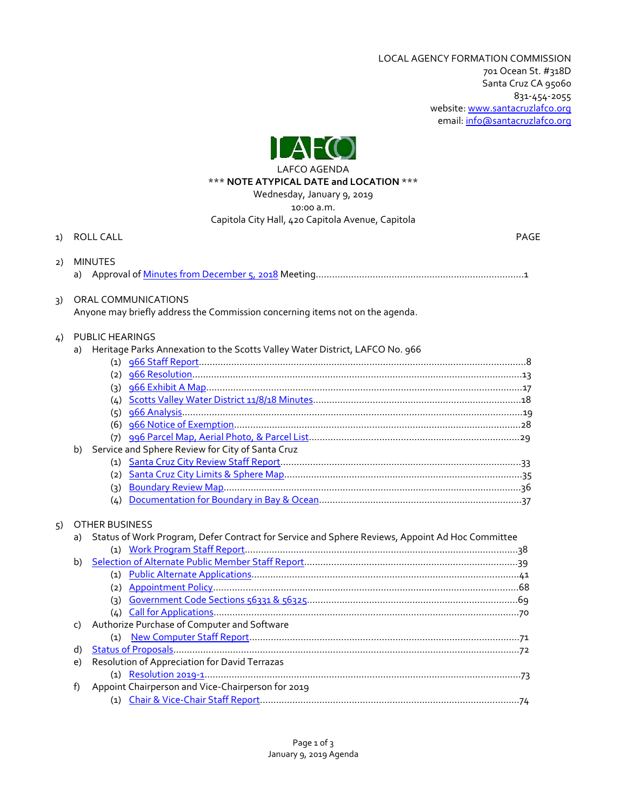LOCAL AGENCY FORMATION COMMISSION 701 Ocean St. #318D Santa Cruz CA 95060 831-454-2055 website[: www.santacruzlafco.org](http://www.santacruzlafco.org/) email: [info@santacruzlafco.org](mailto:info@santacruzlafco.org)



#### LAFCO AGENDA \*\*\* **NOTE ATYPICAL DATE and LOCATION** \*\*\*

Wednesday, January 9, 2019

10:00 a.m.

## Capitola City Hall, 420 Capitola Avenue, Capitola

| 1) |                | ROLL CALL                                                                                                                | <b>PAGE</b> |
|----|----------------|--------------------------------------------------------------------------------------------------------------------------|-------------|
| 2) |                | <b>MINUTES</b>                                                                                                           |             |
| 3) |                | ORAL COMMUNICATIONS<br>Anyone may briefly address the Commission concerning items not on the agenda.                     |             |
| 4) |                | PUBLIC HEARINGS<br>a) Heritage Parks Annexation to the Scotts Valley Water District, LAFCO No. 966                       |             |
|    |                |                                                                                                                          |             |
|    |                | Service and Sphere Review for City of Santa Cruz                                                                         |             |
|    | b)             |                                                                                                                          |             |
| 5) | a)             | <b>OTHER BUSINESS</b><br>Status of Work Program, Defer Contract for Service and Sphere Reviews, Appoint Ad Hoc Committee |             |
|    | b)             |                                                                                                                          |             |
|    | C)<br>d)<br>e) | Authorize Purchase of Computer and Software<br>Resolution of Appreciation for David Terrazas                             |             |
|    | f)             | Appoint Chairperson and Vice-Chairperson for 2019                                                                        |             |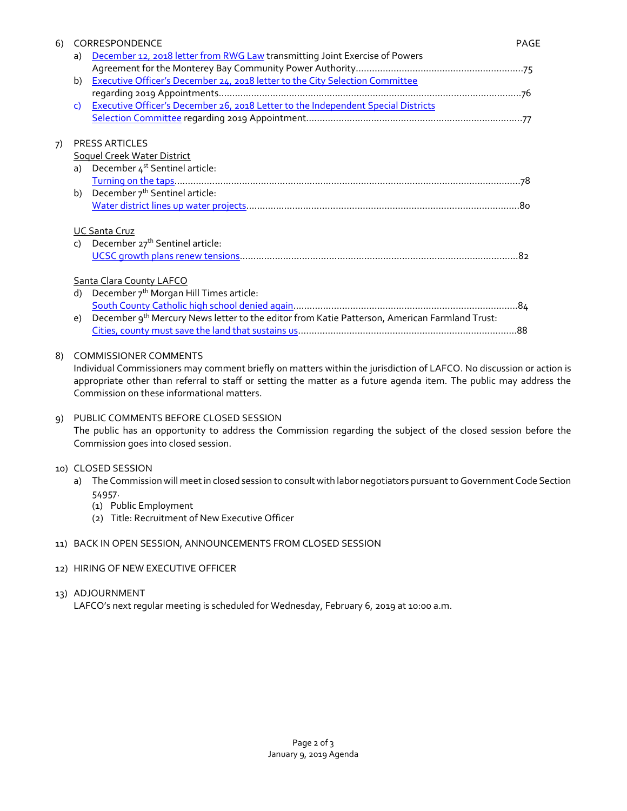| 6) | CORRESPONDENCE |                                                                                               |  |
|----|----------------|-----------------------------------------------------------------------------------------------|--|
|    | a)             | December 12, 2018 letter from RWG Law transmitting Joint Exercise of Powers                   |  |
|    |                |                                                                                               |  |
|    | b)             | Executive Officer's December 24, 2018 letter to the City Selection Committee                  |  |
|    |                |                                                                                               |  |
|    | C)             | Executive Officer's December 26, 2018 Letter to the Independent Special Districts             |  |
|    |                |                                                                                               |  |
| 7) |                | <b>PRESS ARTICLES</b>                                                                         |  |
|    |                | Soquel Creek Water District                                                                   |  |
|    |                | a) December 4 <sup>st</sup> Sentinel article:                                                 |  |
|    |                |                                                                                               |  |
|    |                | b) December $7^{th}$ Sentinel article:                                                        |  |
|    |                |                                                                                               |  |
|    |                | <b>UC Santa Cruz</b>                                                                          |  |
|    |                | c) December 27 <sup>th</sup> Sentinel article:                                                |  |
|    |                |                                                                                               |  |
|    |                | <b>Santa Clara County LAFCO</b>                                                               |  |
|    | d)             | December 7 <sup>th</sup> Morgan Hill Times article:                                           |  |
|    |                |                                                                                               |  |
|    | e)             | December 9th Mercury News letter to the editor from Katie Patterson, American Farmland Trust: |  |
|    |                |                                                                                               |  |
|    |                |                                                                                               |  |

#### 8) COMMISSIONER COMMENTS

Individual Commissioners may comment briefly on matters within the jurisdiction of LAFCO. No discussion or action is appropriate other than referral to staff or setting the matter as a future agenda item. The public may address the Commission on these informational matters.

# 9) PUBLIC COMMENTS BEFORE CLOSED SESSION

The public has an opportunity to address the Commission regarding the subject of the closed session before the Commission goes into closed session.

#### 10) CLOSED SESSION

- a) The Commission will meet in closed session to consult with labor negotiators pursuant to Government Code Section 54957.
	- (1) Public Employment
	- (2) Title: Recruitment of New Executive Officer

#### 11) BACK IN OPEN SESSION, ANNOUNCEMENTS FROM CLOSED SESSION

12) HIRING OF NEW EXECUTIVE OFFICER

## 13) ADJOURNMENT

LAFCO's next regular meeting is scheduled for Wednesday, February 6, 2019 at 10:00 a.m.